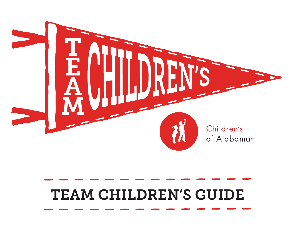

# TEAM CHILDREN'S GUIDE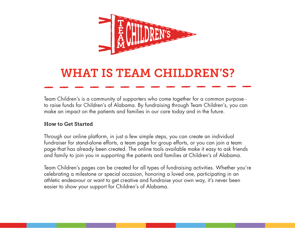

## WHAT IS TEAM CHILDREN'S?

Team Children's is a community of supporters who come together for a common purpose to raise funds for Children's of Alabama. By fundraising through Team Children's, you can make an impact on the patients and families in our care today and in the future.

#### How to Get Started

Through our online platform, in just a few simple steps, you can create an individual fundraiser for stand-alone efforts, a team page for group efforts, or you can join a team page that has already been created. The online tools available make it easy to ask friends and family to join you in supporting the patients and families at Children's of Alabama.

Team Children's pages can be created for all types of fundraising activities. Whether you're celebrating a milestone or special occasion, honoring a loved one, participating in an athletic endeavour or want to get creative and fundraise your own way, it's never been easier to show your support for Children's of Alabama.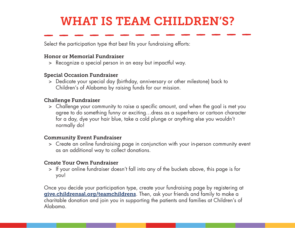# WHAT IS TEAM CHILDREN'S?

Select the participation type that best fits your fundraising efforts:

#### Honor or Memorial Fundraiser

> Recognize a special person in an easy but impactful way.

#### Special Occasion Fundraiser

> Dedicate your special day (birthday, anniversary or other milestone) back to Children's of Alabama by raising funds for our mission.

#### Challenge Fundraiser

> Challenge your community to raise a specific amount, and when the goal is met you agree to do something funny or exciting…dress as a superhero or cartoon character for a day, dye your hair blue, take a cold plunge or anything else you wouldn't normally do!

#### Community Event Fundraiser

> Create an online fundraising page in conjunction with your in-person community event as an additional way to collect donations.

#### Create Your Own Fundraiser

> If your online fundraiser doesn't fall into any of the buckets above, this page is for you!

Once you decide your participation type, create your fundraising page by registering at <give.childrensal.org/teamchildrens>. Then, ask your friends and family to make a charitable donation and join you in supporting the patients and families at Children's of Alabama.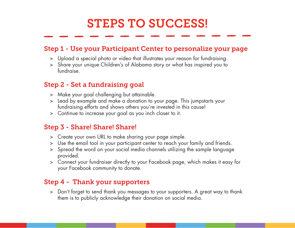# STEPS TO SUCCESS!

### Step 1 - Use your Participant Center to personalize your page

- > Upload a special photo or video that illustrates your reason for fundraising.
- > Share your unique Children's of Alabama story or what has inspired you to fundraise.

### Step 2 - Set a fundraising goal

- > Make your goal challenging but attainable.
- > Lead by example and make a donation to your page. This jumpstarts your fundraising efforts and shows others you're invested in this cause!
- > Continue to increase your goal as you inch closer to it.

### Step 3 - Share! Share! Share!

- > Create your own URL to make sharing your page simple.
- > Use the email tool in your participant center to reach your family and friends.
- > Spread the word on your social media channels utilizing the sample language provided.
- > Connect your fundraiser directly to your Facebook page, which makes it easy for your Facebook community to donate.

### Step 4 - Thank your supporters

> Don't forget to send thank you messages to your supporters. A great way to thank them is to publicly acknowledge their donation on social media.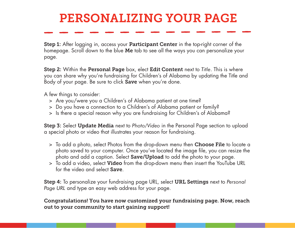# PERSONALIZING YOUR PAGE

Step 1: After logging in, access your **Participant Center** in the top-right corner of the homepage. Scroll down to the blue Me tab to see all the ways you can personalize your page.

Step 2: Within the Personal Page box, elect Edit Content next to *Title*. This is where you can share why you're fundraising for Children's of Alabama by updating the Title and Body of your page. Be sure to click **Save** when you're done.

A few things to consider:

- > Are you/were you a Children's of Alabama patient at one time?
- > Do you have a connection to a Children's of Alabama patient or family?
- > Is there a special reason why you are fundraising for Children's of Alabama?

Step 3: Select Update Media next to *Photo/Video* in the Personal Page section to upload a special photo or video that illustrates your reason for fundraising.

- > To add a photo, select Photos from the drop-down menu then Choose File to locate a photo saved to your computer. Once you've located the image file, you can resize the photo and add a caption. Select **Save/Upload** to add the photo to your page.
- > To add a video, select Video from the drop-down menu then insert the YouTube URL for the video and select Save.

Step 4: To personalize your fundraising page URL, select URL Settings next to *Personal Page URL* and type an easy web address for your page.

Congratulations! You have now customized your fundraising page. Now, reach out to your community to start gaining support!